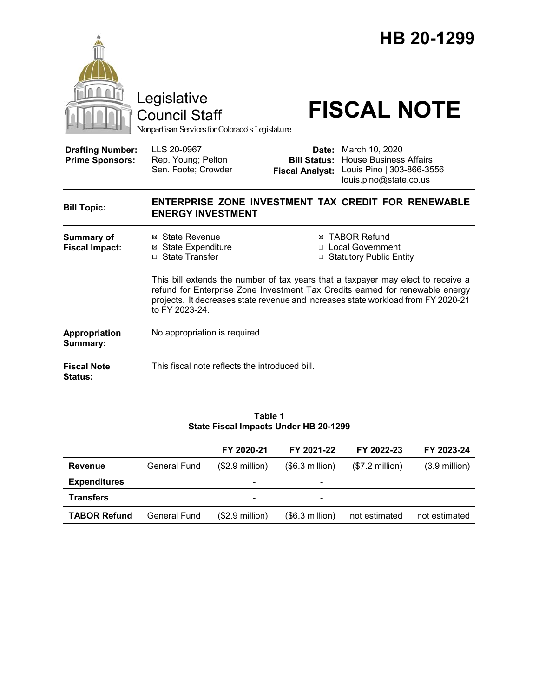

Council Staff

# Legislative<br>
Council Staff **FISCAL NOTE**

*Nonpartisan Services for Colorado's Legislature*

| <b>Drafting Number:</b><br><b>Prime Sponsors:</b> | LLS 20-0967<br>Rep. Young; Pelton<br>Sen. Foote; Crowder                                                                                                                                                                                                                 | Date:<br><b>Bill Status:</b><br><b>Fiscal Analyst:</b> | March 10, 2020<br><b>House Business Affairs</b><br>Louis Pino   303-866-3556<br>louis.pino@state.co.us |  |  |
|---------------------------------------------------|--------------------------------------------------------------------------------------------------------------------------------------------------------------------------------------------------------------------------------------------------------------------------|--------------------------------------------------------|--------------------------------------------------------------------------------------------------------|--|--|
| <b>Bill Topic:</b>                                | ENTERPRISE ZONE INVESTMENT TAX CREDIT FOR RENEWABLE<br><b>ENERGY INVESTMENT</b>                                                                                                                                                                                          |                                                        |                                                                                                        |  |  |
| <b>Summary of</b><br><b>Fiscal Impact:</b>        | ⊠ State Revenue<br>⊠ State Expenditure<br><b>State Transfer</b><br>п                                                                                                                                                                                                     | $\Box$                                                 | ⊠ TABOR Refund<br>□ Local Government<br><b>Statutory Public Entity</b>                                 |  |  |
|                                                   | This bill extends the number of tax years that a taxpayer may elect to receive a<br>refund for Enterprise Zone Investment Tax Credits earned for renewable energy<br>projects. It decreases state revenue and increases state workload from FY 2020-21<br>to FY 2023-24. |                                                        |                                                                                                        |  |  |
| <b>Appropriation</b><br>Summary:                  | No appropriation is required.                                                                                                                                                                                                                                            |                                                        |                                                                                                        |  |  |
| <b>Fiscal Note</b><br><b>Status:</b>              | This fiscal note reflects the introduced bill.                                                                                                                                                                                                                           |                                                        |                                                                                                        |  |  |

**Table 1 State Fiscal Impacts Under HB 20-1299**

|                     |              | FY 2020-21               | FY 2021-22      | FY 2022-23      | FY 2023-24              |
|---------------------|--------------|--------------------------|-----------------|-----------------|-------------------------|
| Revenue             | General Fund | $($2.9$ million)         | (\$6.3 million) | (\$7.2 million) | $(3.9 \text{ million})$ |
| <b>Expenditures</b> |              | $\overline{\phantom{a}}$ |                 |                 |                         |
| <b>Transfers</b>    |              | -                        |                 |                 |                         |
| <b>TABOR Refund</b> | General Fund | $($2.9$ million)         | (\$6.3 million) | not estimated   | not estimated           |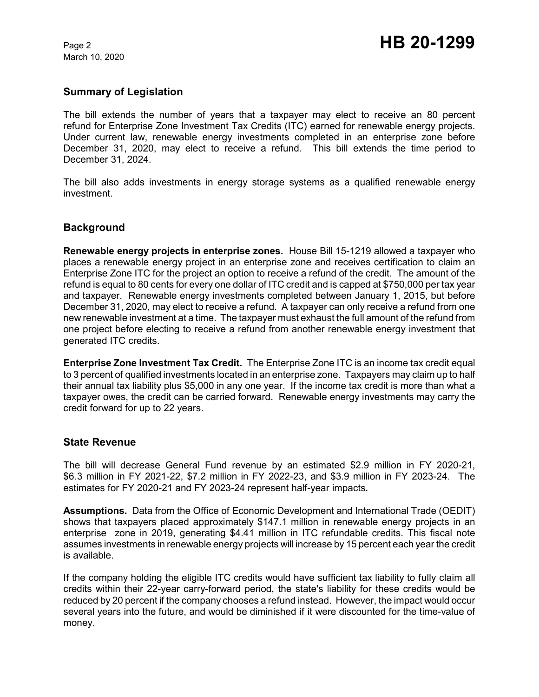March 10, 2020

### **Summary of Legislation**

The bill extends the number of years that a taxpayer may elect to receive an 80 percent refund for Enterprise Zone Investment Tax Credits (ITC) earned for renewable energy projects. Under current law, renewable energy investments completed in an enterprise zone before December 31, 2020, may elect to receive a refund. This bill extends the time period to December 31, 2024.

The bill also adds investments in energy storage systems as a qualified renewable energy investment.

#### **Background**

**Renewable energy projects in enterprise zones.** House Bill 15-1219 allowed a taxpayer who places a renewable energy project in an enterprise zone and receives certification to claim an Enterprise Zone ITC for the project an option to receive a refund of the credit. The amount of the refund is equal to 80 cents for every one dollar of ITC credit and is capped at \$750,000 per tax year and taxpayer. Renewable energy investments completed between January 1, 2015, but before December 31, 2020, may elect to receive a refund. A taxpayer can only receive a refund from one new renewable investment at a time. The taxpayer must exhaust the full amount of the refund from one project before electing to receive a refund from another renewable energy investment that generated ITC credits.

**Enterprise Zone Investment Tax Credit.** The Enterprise Zone ITC is an income tax credit equal to 3 percent of qualified investments located in an enterprise zone. Taxpayers may claim up to half their annual tax liability plus \$5,000 in any one year. If the income tax credit is more than what a taxpayer owes, the credit can be carried forward. Renewable energy investments may carry the credit forward for up to 22 years.

#### **State Revenue**

The bill will decrease General Fund revenue by an estimated \$2.9 million in FY 2020-21, \$6.3 million in FY 2021-22, \$7.2 million in FY 2022-23, and \$3.9 million in FY 2023-24. The estimates for FY 2020-21 and FY 2023-24 represent half-year impacts*.* 

**Assumptions.** Data from the Office of Economic Development and International Trade (OEDIT) shows that taxpayers placed approximately \$147.1 million in renewable energy projects in an enterprise zone in 2019, generating \$4.41 million in ITC refundable credits. This fiscal note assumes investments in renewable energy projects will increase by 15 percent each year the credit is available.

If the company holding the eligible ITC credits would have sufficient tax liability to fully claim all credits within their 22-year carry-forward period, the state's liability for these credits would be reduced by 20 percent if the company chooses a refund instead. However, the impact would occur several years into the future, and would be diminished if it were discounted for the time-value of money.